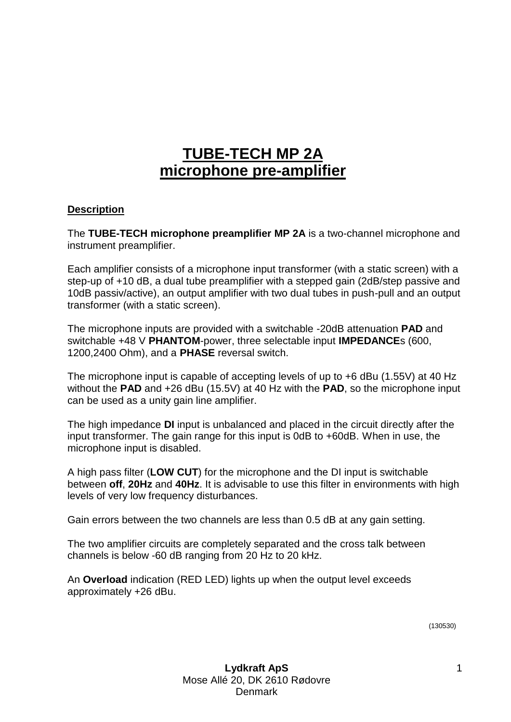## **TUBE-TECH MP 2A microphone pre-amplifier**

## **Description**

The **TUBE-TECH microphone preamplifier MP 2A** is a two-channel microphone and instrument preamplifier.

Each amplifier consists of a microphone input transformer (with a static screen) with a step-up of +10 dB, a dual tube preamplifier with a stepped gain (2dB/step passive and 10dB passiv/active), an output amplifier with two dual tubes in push-pull and an output transformer (with a static screen).

The microphone inputs are provided with a switchable -20dB attenuation **PAD** and switchable +48 V **PHANTOM**-power, three selectable input **IMPEDANCE**s (600, 1200,2400 Ohm), and a **PHASE** reversal switch.

The microphone input is capable of accepting levels of up to +6 dBu (1.55V) at 40 Hz without the **PAD** and +26 dBu (15.5V) at 40 Hz with the **PAD**, so the microphone input can be used as a unity gain line amplifier.

The high impedance **DI** input is unbalanced and placed in the circuit directly after the input transformer. The gain range for this input is 0dB to +60dB. When in use, the microphone input is disabled.

A high pass filter (**LOW CUT**) for the microphone and the DI input is switchable between **off**, **20Hz** and **40Hz**. It is advisable to use this filter in environments with high levels of very low frequency disturbances.

Gain errors between the two channels are less than 0.5 dB at any gain setting.

The two amplifier circuits are completely separated and the cross talk between channels is below -60 dB ranging from 20 Hz to 20 kHz.

An **Overload** indication (RED LED) lights up when the output level exceeds approximately +26 dBu.

(130530)